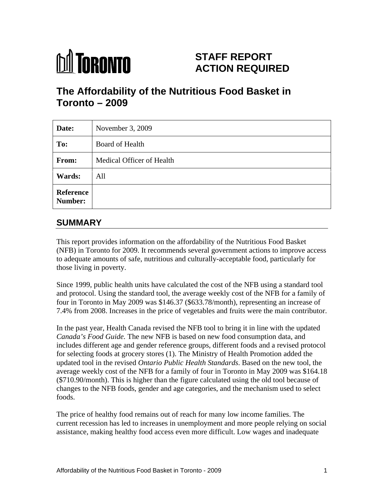# **M** TORONTO

## **STAFF REPORT ACTION REQUIRED**

# **The Affordability of the Nutritious Food Basket in Toronto – 2009**

| Date:                | November $3, 2009$        |
|----------------------|---------------------------|
| To:                  | Board of Health           |
| <b>From:</b>         | Medical Officer of Health |
| <b>Wards:</b>        | All                       |
| Reference<br>Number: |                           |

## **SUMMARY**

This report provides information on the affordability of the Nutritious Food Basket (NFB) in Toronto for 2009. It recommends several government actions to improve access to adequate amounts of safe, nutritious and culturally-acceptable food, particularly for those living in poverty.

Since 1999, public health units have calculated the cost of the NFB using a standard tool and protocol. Using the standard tool, the average weekly cost of the NFB for a family of four in Toronto in May 2009 was \$146.37 (\$633.78/month), representing an increase of 7.4% from 2008. Increases in the price of vegetables and fruits were the main contributor.

In the past year, Health Canada revised the NFB tool to bring it in line with the updated *Canada's Food Guide.* The new NFB is based on new food consumption data, and includes different age and gender reference groups, different foods and a revised protocol for selecting foods at grocery stores (1). The Ministry of Health Promotion added the updated tool in the revised *Ontario Public Health Standards*. Based on the new tool, the average weekly cost of the NFB for a family of four in Toronto in May 2009 was \$164.18 (\$710.90/month). This is higher than the figure calculated using the old tool because of changes to the NFB foods, gender and age categories, and the mechanism used to select foods.

The price of healthy food remains out of reach for many low income families. The current recession has led to increases in unemployment and more people relying on social assistance, making healthy food access even more difficult. Low wages and inadequate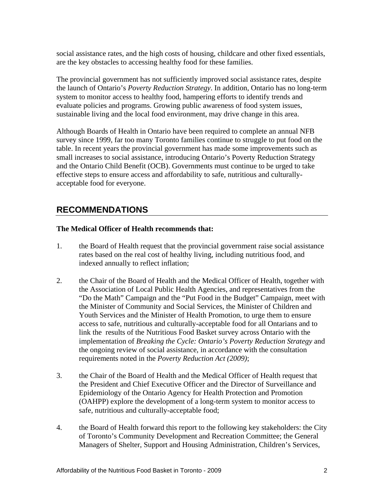social assistance rates, and the high costs of housing, childcare and other fixed essentials,

are the key obstacles to accessing healthy food for these families.<br>The provincial government has not sufficiently improved social assistance rates, despite the launch of Ontario's *Poverty Reduction Strategy*. In addition, Ontario has no long-term system to monitor access to healthy food, hampering efforts to identify trends and evaluate policies and programs. Growing public awareness of food system issues, sustainable living and the local food environment, may drive change in this area.

Although Boards of Health in Ontario have been required to complete an annual NFB survey since 1999, far too many Toronto families continue to struggle to put food on the table. In recent years the provincial government has made some improvements such as small increases to social assistance, introducing Ontario's Poverty Reduction Strategy and the Ontario Child Benefit (OCB). Governments must continue to be urged to take effective steps to ensure access and affordability to safe, nutritious and culturally acceptable food for everyone.

## **RECOMMENDATIONS**

#### **The Medical Officer of Health recommends that:**

- 1. the Board of Health request that the provincial government raise social assistance rates based on the real cost of healthy living, including nutritious food, and indexed annually to reflect inflation;
- 2. the Chair of the Board of Health and the Medical Officer of Health, together with the Association of Local Public Health Agencies, and representatives from the "Do the Math" Campaign and the "Put Food in the Budget" Campaign, meet with the Minister of Community and Social Services, the Minister of Children and Youth Services and the Minister of Health Promotion, to urge them to ensure access to safe, nutritious and culturally-acceptable food for all Ontarians and to link the results of the Nutritious Food Basket survey across Ontario with the implementation of *Breaking the Cycle: Ontario's Poverty Reduction Strategy* and the ongoing review of social assistance, in accordance with the consultation requirements noted in the *Poverty Reduction Act (2009)*;
- 3. the Chair of the Board of Health and the Medical Officer of Health request that the President and Chief Executive Officer and the Director of Surveillance and Epidemiology of the Ontario Agency for Health Protection and Promotion (OAHPP) explore the development of a long-term system to monitor access to safe, nutritious and culturally-acceptable food;
- 4. the Board of Health forward this report to the following key stakeholders: the City of Toronto's Community Development and Recreation Committee; the General Managers of Shelter, Support and Housing Administration, Children's Services,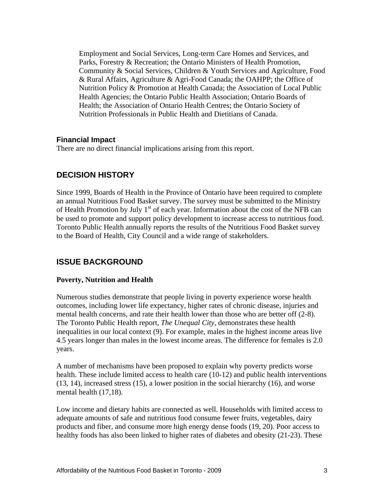Employment and Social Services, Long-term Care Homes and Services, and Parks, Forestry & Recreation; the Ontario Ministers of Health Promotion, Community & Social Services, Children & Youth Services and Agriculture, Food & Rural Affairs, Agriculture & Agri-Food Canada; the OAHPP; the Office of Nutrition Policy & Promotion at Health Canada; the Association of Local Public Health Agencies; the Ontario Public Health Association; Ontario Boards of Health; the Association of Ontario Health Centres; the Ontario Society of Nutrition Professionals in Public Health and Dietitians of Canada.

#### **Financial Impact**

There are no direct financial implications arising from this report.

### **DECISION HISTORY**

Since 1999, Boards of Health in the Province of Ontario have been required to complete an annual Nutritious Food Basket survey. The survey must be submitted to the Ministry of Health Promotion by July  $1<sup>st</sup>$  of each year. Information about the cost of the NFB can be used to promote and support policy development to increase access to nutritious food. Toronto Public Health annually reports the results of the Nutritious Food Basket survey to the Board of Health, City Council and a wide range of stakeholders.

#### **ISSUE BACKGROUND**

#### **Poverty, Nutrition and Health**

Numerous studies demonstrate that people living in poverty experience worse health outcomes, including lower life expectancy, higher rates of chronic disease, injuries and mental health concerns, and rate their health lower than those who are better off (2-8). The Toronto Public Health report, *The Unequal City*, demonstrates these health inequalities in our local context (9). For example, males in the highest income areas live 4.5 years longer than males in the lowest income areas. The difference for females is 2.0 years.

A number of mechanisms have been proposed to explain why poverty predicts worse health. These include limited access to health care (10-12) and public health interventions (13, 14), increased stress (15), a lower position in the social hierarchy (16), and worse mental health (17,18).

Low income and dietary habits are connected as well. Households with limited access to adequate amounts of safe and nutritious food consume fewer fruits, vegetables, dairy products and fiber, and consume more high energy dense foods (19, 20). Poor access to healthy foods has also been linked to higher rates of diabetes and obesity (21-23). These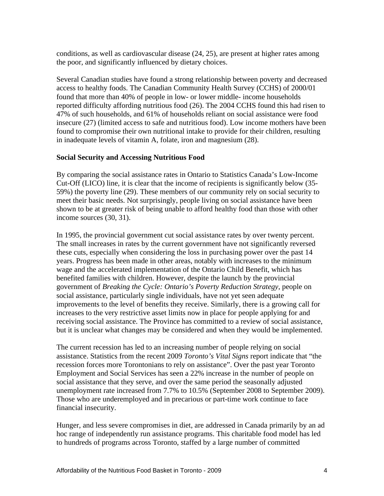conditions, as well as cardiovascular disease (24, 25), are present at higher rates among the poor, and significantly influenced by dietary choices.

Several Canadian studies have found a strong relationship between poverty and decreased access to healthy foods. The Canadian Community Health Survey (CCHS) of 2000/01 found that more than 40% of people in low- or lower middle- income households reported difficulty affording nutritious food (26). The 2004 CCHS found this had risen to 47% of such households, and 61% of households reliant on social assistance were food insecure (27) (limited access to safe and nutritious food). Low income mothers have been found to compromise their own nutritional intake to provide for their children, resulting in inadequate levels of vitamin A, folate, iron and magnesium (28).

#### **Social Security and Accessing Nutritious Food**

By comparing the social assistance rates in Ontario to Statistics Canada's Low-Income Cut-Off (LICO) line, it is clear that the income of recipients is significantly below (35- 59%) the poverty line (29). These members of our community rely on social security to meet their basic needs. Not surprisingly, people living on social assistance have been shown to be at greater risk of being unable to afford healthy food than those with other income sources (30, 31).

In 1995, the provincial government cut social assistance rates by over twenty percent. The small increases in rates by the current government have not significantly reversed these cuts, especially when considering the loss in purchasing power over the past 14 years. Progress has been made in other areas, notably with increases to the minimum wage and the accelerated implementation of the Ontario Child Benefit, which has benefited families with children. However, despite the launch by the provincial government of *Breaking the Cycle: Ontario's Poverty Reduction Strategy*, people on social assistance, particularly single individuals, have not yet seen adequate improvements to the level of benefits they receive. Similarly, there is a growing call for increases to the very restrictive asset limits now in place for people applying for and receiving social assistance. The Province has committed to a review of social assistance, but it is unclear what changes may be considered and when they would be implemented.

The current recession has led to an increasing number of people relying on social assistance. Statistics from the recent 2009 *Toronto's Vital Signs* report indicate that "the recession forces more Torontonians to rely on assistance". Over the past year Toronto Employment and Social Services has seen a 22% increase in the number of people on social assistance that they serve, and over the same period the seasonally adjusted unemployment rate increased from 7.7% to 10.5% (September 2008 to September 2009). Those who are underemployed and in precarious or part-time work continue to face financial insecurity.

Hunger, and less severe compromises in diet, are addressed in Canada primarily by an ad hoc range of independently run assistance programs. This charitable food model has led to hundreds of programs across Toronto, staffed by a large number of committed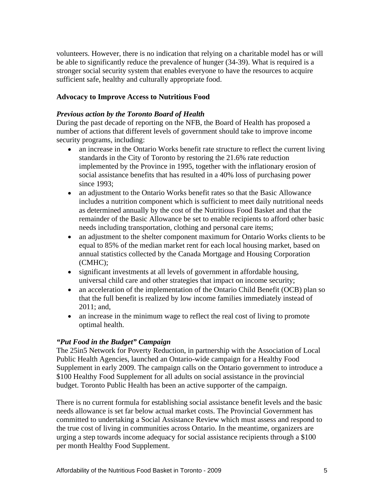volunteers. However, there is no indication that relying on a charitable model has or will be able to significantly reduce the prevalence of hunger (34-39). What is required is a stronger social security system that enables everyone to have the resources to acquire sufficient safe, healthy and culturally appropriate food.

#### **Advocacy to Improve Access to Nutritious Food**

#### *Previous action by the Toronto Board of Health*

During the past decade of reporting on the NFB, the Board of Health has proposed a number of actions that different levels of government should take to improve income security programs, including:

- an increase in the Ontario Works benefit rate structure to reflect the current living standards in the City of Toronto by restoring the 21.6% rate reduction implemented by the Province in 1995, together with the inflationary erosion of social assistance benefits that has resulted in a 40% loss of purchasing power since 1993;
- an adjustment to the Ontario Works benefit rates so that the Basic Allowance includes a nutrition component which is sufficient to meet daily nutritional needs as determined annually by the cost of the Nutritious Food Basket and that the remainder of the Basic Allowance be set to enable recipients to afford other basic needs including transportation, clothing and personal care items;
- an adjustment to the shelter component maximum for Ontario Works clients to be  $\bullet$ equal to 85% of the median market rent for each local housing market, based on annual statistics collected by the Canada Mortgage and Housing Corporation (CMHC);
- significant investments at all levels of government in affordable housing, universal child care and other strategies that impact on income security;
- an acceleration of the implementation of the Ontario Child Benefit (OCB) plan so that the full benefit is realized by low income families immediately instead of 2011; and,
- $\bullet$ an increase in the minimum wage to reflect the real cost of living to promote optimal health.

#### *"Put Food in the Budget" Campaign*

The 25in5 Network for Poverty Reduction, in partnership with the Association of Local Public Health Agencies, launched an Ontario-wide campaign for a Healthy Food Supplement in early 2009. The campaign calls on the Ontario government to introduce a \$100 Healthy Food Supplement for all adults on social assistance in the provincial budget. Toronto Public Health has been an active supporter of the campaign.

There is no current formula for establishing social assistance benefit levels and the basic needs allowance is set far below actual market costs. The Provincial Government has committed to undertaking a Social Assistance Review which must assess and respond to the true cost of living in communities across Ontario. In the meantime, organizers are urging a step towards income adequacy for social assistance recipients through a \$100 per month Healthy Food Supplement.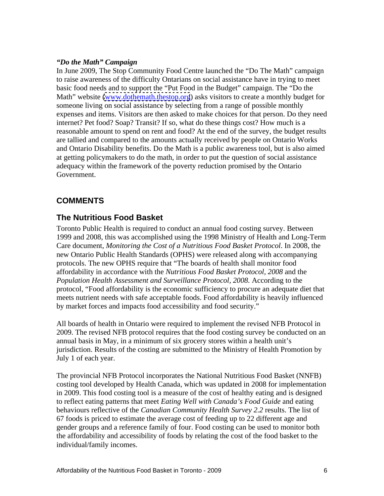#### *"Do the Math" Campaign*

In June 2009, The Stop Community Food Centre launched the "Do The Math" campaign to raise awareness of the difficulty Ontarians on social assistance have in trying to meet basic food needs and to support the "Put Food in the Budget" campaign. The "Do the Math" website [\(www.dothemath.thestop.org](http://www.dothemath.thestop.org)) asks visitors to create a monthly budget for someone living on social assistance by selecting from a range of possible monthly expenses and items. Visitors are then asked to make choices for that person. Do they need internet? Pet food? Soap? Transit? If so, what do these things cost? How much is a reasonable amount to spend on rent and food? At the end of the survey, the budget results are tallied and compared to the amounts actually received by people on Ontario Works and Ontario Disability benefits. Do the Math is a public awareness tool, but is also aimed at getting policymakers to do the math, in order to put the question of social assistance adequacy within the framework of the poverty reduction promised by the Ontario Government.

## **COMMENTS**

#### **The Nutritious Food Basket**

Toronto Public Health is required to conduct an annual food costing survey. Between 1999 and 2008, this was accomplished using the 1998 Ministry of Health and Long-Term Care document, *Monitoring the Cost of a Nutritious Food Basket Protocol*. In 2008, the new Ontario Public Health Standards (OPHS) were released along with accompanying protocols. The new OPHS require that "The boards of health shall monitor food affordability in accordance with the *Nutritious Food Basket Protocol, 2008* and the *Population Health Assessment and Surveillance Protocol, 2008.* According to the protocol, "Food affordability is the economic sufficiency to procure an adequate diet that meets nutrient needs with safe acceptable foods. Food affordability is heavily influenced by market forces and impacts food accessibility and food security."

All boards of health in Ontario were required to implement the revised NFB Protocol in 2009. The revised NFB protocol requires that the food costing survey be conducted on an annual basis in May, in a minimum of six grocery stores within a health unit's jurisdiction. Results of the costing are submitted to the Ministry of Health Promotion by July 1 of each year.

The provincial NFB Protocol incorporates the National Nutritious Food Basket (NNFB) costing tool developed by Health Canada, which was updated in 2008 for implementation in 2009. This food costing tool is a measure of the cost of healthy eating and is designed to reflect eating patterns that meet *Eating Well with Canada's Food Guide* and eating behaviours reflective of the *Canadian Community Health Survey 2.2* results. The list of 67 foods is priced to estimate the average cost of feeding up to 22 different age and gender groups and a reference family of four. Food costing can be used to monitor both the affordability and accessibility of foods by relating the cost of the food basket to the individual/family incomes.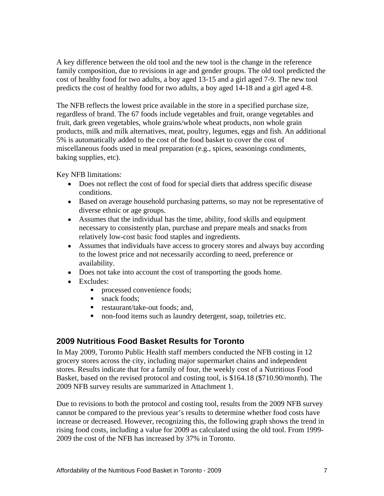A key difference between the old tool and the new tool is the change in the reference family composition, due to revisions in age and gender groups. The old tool predicted the cost of healthy food for two adults, a boy aged 13-15 and a girl aged 7-9. The new tool predicts the cost of healthy food for two adults, a boy aged 14-18 and a girl aged 4-8.

The NFB reflects the lowest price available in the store in a specified purchase size, regardless of brand. The 67 foods include vegetables and fruit, orange vegetables and fruit, dark green vegetables, whole grains/whole wheat products, non whole grain products, milk and milk alternatives, meat, poultry, legumes, eggs and fish. An additional 5% is automatically added to the cost of the food basket to cover the cost of miscellaneous foods used in meal preparation (e.g., spices, seasonings condiments, baking supplies, etc).

Key NFB limitations:

- Does not reflect the cost of food for special diets that address specific disease conditions.
- Based on average household purchasing patterns, so may not be representative of diverse ethnic or age groups.
- Assumes that the individual has the time, ability, food skills and equipment necessary to consistently plan, purchase and prepare meals and snacks from relatively low-cost basic food staples and ingredients.
- Assumes that individuals have access to grocery stores and always buy according to the lowest price and not necessarily according to need, preference or availability.
- Does not take into account the cost of transporting the goods home.
- excludes: the contract of the contract of the contract of the contract of the contract of the contract of the contract of the contract of the contract of the contract of the contract of the contract of the contract of the
	- **processed convenience foods;**
	- snack foods;
	- $\mathbf{u}$ restaurant/take-out foods; and,
	- non-food items such as laundry detergent, soap, toiletries etc.  $\mathbf{u}$  .

#### **2009 Nutritious Food Basket Results for Toronto**

In May 2009, Toronto Public Health staff members conducted the NFB costing in 12 grocery stores across the city, including major supermarket chains and independent stores. Results indicate that for a family of four, the weekly cost of a Nutritious Food Basket, based on the revised protocol and costing tool, is \$164.18 (\$710.90/month). The 2009 NFB survey results are summarized in Attachment 1.

Due to revisions to both the protocol and costing tool, results from the 2009 NFB survey cannot be compared to the previous year's results to determine whether food costs have increase or decreased. However, recognizing this, the following graph shows the trend in rising food costs, including a value for 2009 as calculated using the old tool. From 1999- 2009 the cost of the NFB has increased by 37% in Toronto.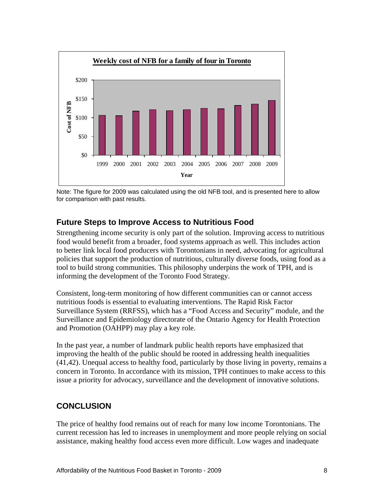

Note: The figure for 2009 was calculated using the old NFB tool, and is presented here to allow for comparison with past results.

### **Future Steps to Improve Access to Nutritious Food**

Strengthening income security is only part of the solution. Improving access to nutritious food would benefit from a broader, food systems approach as well. This includes action to better link local food producers with Torontonians in need, advocating for agricultural policies that support the production of nutritious, culturally diverse foods, using food as a tool to build strong communities. This philosophy underpins the work of TPH, and is informing the development of the Toronto Food Strategy.

Consistent, long-term monitoring of how different communities can or cannot access nutritious foods is essential to evaluating interventions. The Rapid Risk Factor Surveillance System (RRFSS), which has a "Food Access and Security" module, and the Surveillance and Epidemiology directorate of the Ontario Agency for Health Protection and Promotion (OAHPP) may play a key role.

In the past year, a number of landmark public health reports have emphasized that improving the health of the public should be rooted in addressing health inequalities (41,42). Unequal access to healthy food, particularly by those living in poverty, remains a concern in Toronto. In accordance with its mission, TPH continues to make access to this issue a priority for advocacy, surveillance and the development of innovative solutions.

#### **CONCLUSION**

The price of healthy food remains out of reach for many low income Torontonians. The current recession has led to increases in unemployment and more people relying on social assistance, making healthy food access even more difficult. Low wages and inadequate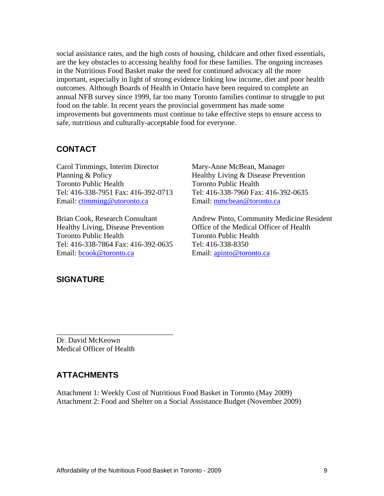social assistance rates, and the high costs of housing, childcare and other fixed essentials, are the key obstacles to accessing healthy food for these families. The ongoing increases in the Nutritious Food Basket make the need for continued advocacy all the more important, especially in light of strong evidence linking low income, diet and poor health outcomes. Although Boards of Health in Ontario have been required to complete an annual NFB survey since 1999, far too many Toronto families continue to struggle to put food on the table. In recent years the provincial government has made some improvements but governments must continue to take effective steps to ensure access to safe, nutritious and culturally-acceptable food for everyone.

#### **CONTACT**

Carol Timmings, Interim Director Mary-Anne McBean, Manager Planning & Policy Healthy Living & Disease Prevention Email: ctimming@utoronto.ca Email: mmcbean@toronto.ca

Tel: 416-338-7864 Fax: 416-392-0635 Tel: 416-338-8350

Toronto Public Health Toronto Public Health Tel: 416-338-7951 Fax: 416-392-0713 Tel: 416-338-7960 Fax: 416-392-0635

Brian Cook, Research Consultant Andrew Pinto, Community Medicine Resident Healthy Living, Disease Prevention Office of the Medical Officer of Health Toronto Public Health Toronto Public Health Email: <u>bcook@toronto.ca</u> example a Email: <u>apinto@toronto.ca</u>

#### **SIGNATURE**

Dr. David McKeown Medical Officer of Health

#### **ATTACHMENTS**

Attachment 1: Weekly Cost of Nutritious Food Basket in Toronto (May 2009) Attachment 2: Food and Shelter on a Social Assistance Budget (November 2009)

 $\overline{\phantom{a}}$  , we can assume that the contract of  $\overline{\phantom{a}}$  , we can assume that the contract of  $\overline{\phantom{a}}$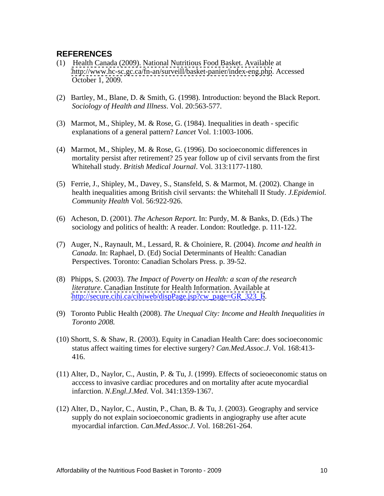#### **REFERENCES**

- (1) Health Canada (2009). National Nutritious Food Basket. Available at <http://www.hc-sc.gc.ca/fn-an/surveill/basket-panier/index-eng.php>. Accessed October 1, 2009.
- (2) Bartley, M., Blane, D. & Smith, G. (1998). Introduction: beyond the Black Report. *Sociology of Health and Illness*. Vol. 20:563-577.
- (3) Marmot, M., Shipley, M. & Rose, G. (1984). Inequalities in death specific explanations of a general pattern? *Lancet* Vol. 1:1003-1006.
- (4) Marmot, M., Shipley, M. & Rose, G. (1996). Do socioeconomic differences in mortality persist after retirement? 25 year follow up of civil servants from the first Whitehall study. *British Medical Journal*. Vol. 313:1177-1180.
- (5) Ferrie, J., Shipley, M., Davey, S., Stansfeld, S. & Marmot, M. (2002). Change in health inequalities among British civil servants: the Whitehall II Study. *J.Epidemiol. Community Health* Vol. 56:922-926.
- (6) Acheson, D. (2001). *The Acheson Report*. In: Purdy, M. & Banks, D. (Eds.) The sociology and politics of health: A reader. London: Routledge. p. 111-122.
- (7) Auger, N., Raynault, M., Lessard, R. & Choiniere, R. (2004). *Income and health in Canada*. In: Raphael, D. (Ed) Social Determinants of Health: Canadian Perspectives. Toronto: Canadian Scholars Press. p. 39-52.
- (8) Phipps, S. (2003). *The Impact of Poverty on Health: a scan of the research literature*. Canadian Institute for Health Information. Available at [http://secure.cihi.ca/cihiweb/dispPage.jsp?cw\\_page=GR\\_323\\_E](http://secure.cihi.ca/cihiweb/dispPage.jsp?cw_page=GR_323_E).<br>(9) Toronto Public Health (2008). *The Unequal City: Income and Health Inequalities in*
- *Toronto 2008.*
- (10) Shortt, S. & Shaw, R. (2003). Equity in Canadian Health Care: does socioeconomic status affect waiting times for elective surgery? *Can.Med.Assoc.J*. Vol. 168:413- 416.
- (11) Alter, D., Naylor, C., Austin, P. & Tu, J. (1999). Effects of socieoeconomic status on acccess to invasive cardiac procedures and on mortality after acute myocardial infarction. *N.Engl.J.Med*. Vol. 341:1359-1367.
- (12) Alter, D., Naylor, C., Austin, P., Chan, B. & Tu, J. (2003). Geography and service supply do not explain socioeconomic gradients in angiography use after acute myocardial infarction. *Can.Med.Assoc.J*. Vol. 168:261-264.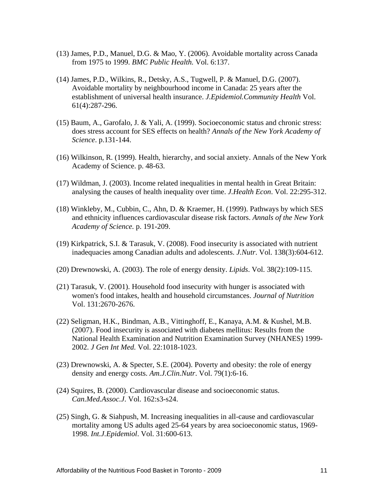- (13) James, P.D., Manuel, D.G. & Mao, Y. (2006). Avoidable mortality across Canada from 1975 to 1999. *BMC Public Health.* Vol. 6:137.
- (14) James, P.D., Wilkins, R., Detsky, A.S., Tugwell, P. & Manuel, D.G. (2007). Avoidable mortality by neighbourhood income in Canada: 25 years after the establishment of universal health insurance. *J.Epidemiol.Community Health* Vol. 61(4):287-296.
- (15) Baum, A., Garofalo, J. & Yali, A. (1999). Socioeconomic status and chronic stress: does stress account for SES effects on health? *Annals of the New York Academy of Science*. p.131-144.
- (16) Wilkinson, R. (1999). Health, hierarchy, and social anxiety. Annals of the New York Academy of Science. p. 48-63.
- (17) Wildman, J. (2003). Income related inequalities in mental health in Great Britain: analysing the causes of health inequality over time. *J.Health Econ*. Vol. 22:295-312.
- (18) Winkleby, M., Cubbin, C., Ahn, D. & Kraemer, H. (1999). Pathways by which SES and ethnicity influences cardiovascular disease risk factors. *Annals of the New York Academy of Science.* p. 191-209.
- (19) Kirkpatrick, S.I. & Tarasuk, V. (2008). Food insecurity is associated with nutrient inadequacies among Canadian adults and adolescents. *J.Nutr*. Vol. 138(3):604-612.
- (20) Drewnowski, A. (2003). The role of energy density. *Lipids*. Vol. 38(2):109-115.
- (21) Tarasuk, V. (2001). Household food insecurity with hunger is associated with women's food intakes, health and household circumstances. *Journal of Nutrition* Vol. 131:2670-2676.
- (22) Seligman, H.K., Bindman, A.B., Vittinghoff, E., Kanaya, A.M. & Kushel, M.B. (2007). Food insecurity is associated with diabetes mellitus: Results from the National Health Examination and Nutrition Examination Survey (NHANES) 1999- 2002. *J Gen Int Med.* Vol. 22:1018-1023.
- (23) Drewnowski, A. & Specter, S.E. (2004). Poverty and obesity: the role of energy density and energy costs. *Am.J.Clin.Nutr*. Vol. 79(1):6-16.
- (24) Squires, B. (2000). Cardiovascular disease and socioeconomic status. *Can.Med.Assoc.J*. Vol. 162:s3-s24.
- (25) Singh, G. & Siahpush, M. Increasing inequalities in all-cause and cardiovascular mortality among US adults aged 25-64 years by area socioeconomic status, 1969- 1998. *Int.J.Epidemiol*. Vol. 31:600-613.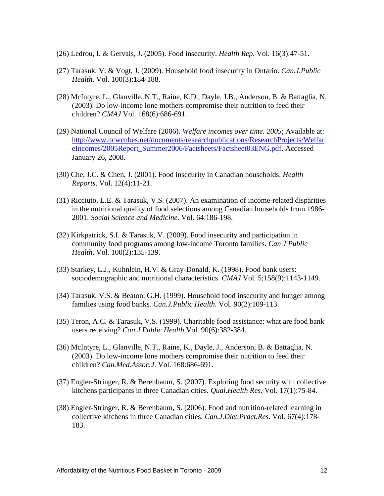- (26) Ledrou, I. & Gervais, J. (2005). Food insecurity. *Health Rep*. Vol. 16(3):47-51.
- (27) Tarasuk, V. & Vogt, J. (2009). Household food insecurity in Ontario. *Can.J.Public Health*. Vol. 100(3):184-188.
- (28) McIntyre, L., Glanville, N.T., Raine, K.D., Dayle, J.B., Anderson, B. & Battaglia, N. (2003). Do low-income lone mothers compromise their nutrition to feed their children? *CMAJ* Vol. 168(6):686-691.
- (29) National Council of Welfare (2006). *Welfare incomes over time. 2005*; Available at: [http://www.ncwcnbes.net/documents/researchpublications/ResearchProjects/Welfar](http://www.hc-sc.gc.ca/fn-an/surveill/basket-panier/index-eng.php) eIncomes/2005Report\_Summer2006/Factsheets/Factsheet03ENG.pdf. Accessed January 26, 2008.
- (30) Che, J.C. & Chen, J. (2001). Food insecurity in Canadian households. *Health Reports*. Vol. 12(4):11-21.
- (31) Ricciuto, L.E. & Tarasuk, V.S. (2007). An examination of income-related disparities in the nutritional quality of food selections among Canadian households from 1986- 2001. *Social Science and Medicine*. Vol. 64:186-198.
- (32) Kirkpatrick, S.I. & Tarasuk, V. (2009). Food insecurity and participation in community food programs among low-income Toronto families. *Can J Public Health*. Vol. 100(2):135-139.
- (33) Starkey, L.J., Kuhnlein, H.V. & Gray-Donald, K. (1998). Food bank users: sociodemographic and nutritional characteristics. *CMAJ* Vol. 5;158(9):1143-1149.
- (34) Tarasuk, V.S. & Beaton, G.H. (1999). Household food insecurity and hunger among families using food banks. *Can.J.Public Health*. Vol. 90(2):109-113.
- (35) Teron, A.C. & Tarasuk, V.S. (1999). Charitable food assistance: what are food bank users receiving? *Can.J.Public Health* Vol. 90(6):382-384.
- (36) McIntyre, L., Glanville, N.T., Raine, K., Dayle, J., Anderson, B. & Battaglia, N. (2003). Do low-income lone mothers compromise their nutrition to feed their children? *Can.Med.Assoc.J*. Vol. 168:686-691.
- (37) Engler-Stringer, R. & Berenbaum, S. (2007). Exploring food security with collective kitchens participants in three Canadian cities. *Qual.Health Res*. Vol. 17(1):75-84.
- (38) Engler-Stringer, R. & Berenbaum, S. (2006). Food and nutrition-related learning in collective kitchens in three Canadian cities. *Can.J.Diet.Pract.Res*. Vol. 67(4):178- 183.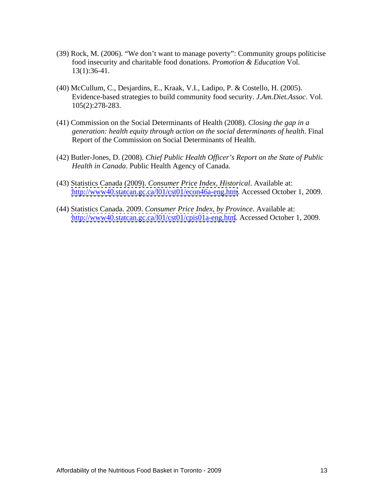- (39) Rock, M. (2006). "We don't want to manage poverty": Community groups politicise food insecurity and charitable food donations. *Promotion & Education* Vol. 13(1):36-41.
- (40) McCullum, C., Desjardins, E., Kraak, V.I., Ladipo, P. & Costello, H. (2005). Evidence-based strategies to build community food security. *J.Am.Diet.Assoc*. Vol. 105(2):278-283.
- (41) Commission on the Social Determinants of Health (2008). *Closing the gap in a generation: health equity through action on the social determinants of health*. Final Report of the Commission on Social Determinants of Health.
- (42) Butler-Jones, D. (2008). *Chief Public Health Officer's Report on the State of Public Health in Canada*. Public Health Agency of Canada.
- (43) Statistics Canada (2009). *Consumer Price Index, Historical*. Available at: <http://www40.statcan.gc.ca/l01/cst01/econ46a-eng.htm>. Accessed October 1, 2009.
- (44) Statistics Canada. 2009. *Consumer Price Index, by Province*. Available at: <http://www40.statcan.gc.ca/l01/cst01/cpis01a-eng.htm>. Accessed October 1, 2009.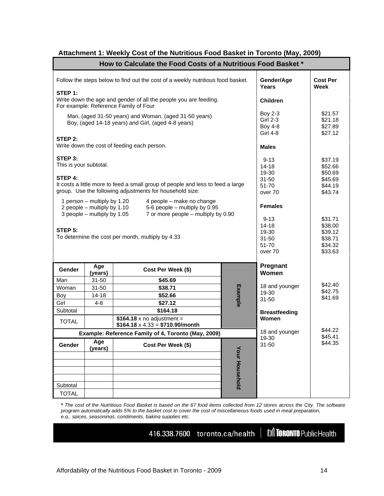| How to Calculate the Food Costs of a Nutritious Food Basket *                                                                                          |                                                     |                                          |  |  |  |  |
|--------------------------------------------------------------------------------------------------------------------------------------------------------|-----------------------------------------------------|------------------------------------------|--|--|--|--|
| Follow the steps below to find out the cost of a weekly nutritious food basket.                                                                        | Gender/Age<br>Years                                 | <b>Cost Per</b><br>Week                  |  |  |  |  |
| STEP 1:<br>Write down the age and gender of all the people you are feeding.<br>For example: Reference Family of Four                                   | Children                                            |                                          |  |  |  |  |
| Man, (aged 31-50 years) and Woman, (aged 31-50 years)<br>Boy, (aged 14-18 years) and Girl, (aged 4-8 years)                                            | <b>Boy 2-3</b><br><b>Girl 2-3</b><br><b>Boy 4-8</b> | \$21.57<br>\$21.18<br>\$27.89            |  |  |  |  |
| STEP 2:<br>Write down the cost of feeding each person.                                                                                                 | <b>Girl 4-8</b><br><b>Males</b>                     | \$27.12                                  |  |  |  |  |
| STEP 3:<br>This is your subtotal.                                                                                                                      | $9 - 13$<br>$14 - 18$                               | \$37.19<br>\$52.66                       |  |  |  |  |
| STEP 4:<br>It costs a little more to feed a small group of people and less to feed a large<br>group. Use the following adjustments for household size: | 19-30<br>$31 - 50$<br>51-70<br>over 70              | \$50.69<br>\$45.69<br>\$44.19<br>\$43.74 |  |  |  |  |
| 1 person – multiply by 1.20<br>4 people - make no change<br>5-6 people - multiply by 0.95<br>2 people – multiply by 1.10                               | Females                                             |                                          |  |  |  |  |
| 7 or more people - multiply by 0.90<br>3 people – multiply by 1.05<br>STEP 5:                                                                          | $9 - 13$<br>14-18<br>19-30                          | \$31.71<br>\$38.00<br>\$39.12            |  |  |  |  |
| To determine the cost per month, multiply by 4.33                                                                                                      | $31 - 50$<br>51-70<br>over 70                       | \$38.71<br>\$34.32<br>\$33.63            |  |  |  |  |
| Age<br>Cost Per Week (\$)<br>Gender<br>(years)                                                                                                         | Pregnant<br>  Women                                 |                                          |  |  |  |  |
| Man<br>$31 - 50$<br>\$45.69<br>\$38.71<br>Woman<br>$31 - 50$                                                                                           | 18 and younger<br>19-30                             | \$42.40<br>\$42.75                       |  |  |  |  |
| $14 - 18$<br>\$52.66<br><u>Boy</u><br>\$27.12<br>Girl<br>$4 - 8$<br>Subtotal<br>\$164.18                                                               | 31-50<br><b>Breastfeeding</b>                       | \$41.69                                  |  |  |  |  |
| \$164.18 x no adjustment =<br><b>TOTAL</b><br>$$164.18 \times 4.33 = $710.90/m$ onth                                                                   | Women<br>18 and younger                             | \$44.22                                  |  |  |  |  |
| Example: Reference Family of 4, Toronto (May, 2009)<br>$\sqrt{1 + 4ge}$<br>$\sqrt{1 + 4ge}$<br>Gender<br>Cost Per Week (\$)                            | $19-30$<br>31-50                                    | \$45.41<br>\$44.35                       |  |  |  |  |
|                                                                                                                                                        |                                                     |                                          |  |  |  |  |
|                                                                                                                                                        |                                                     |                                          |  |  |  |  |
| Subtotal<br>TOTAL                                                                                                                                      |                                                     |                                          |  |  |  |  |

#### **Attachment 1: Weekly Cost of the Nutritious Food Basket in Toronto (May, 2009)**

**\*** The cost of the Nutritious Food Basket is based on the 67 food items collected from 12 stores across the City. The software program automatically adds 5% to the basket cost to cover the cost of miscellaneous foods used in meal preparation, e.g., spices, seasonings, condiments, baking supplies etc.

416.338.7600 toronto.ca/health |

**M** TORONTO Public Health